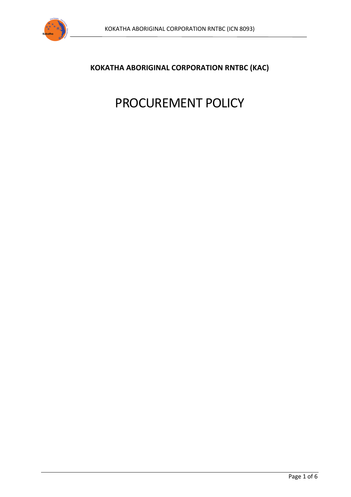

# **KOKATHA ABORIGINAL CORPORATION RNTBC (KAC)**

# PROCUREMENT POLICY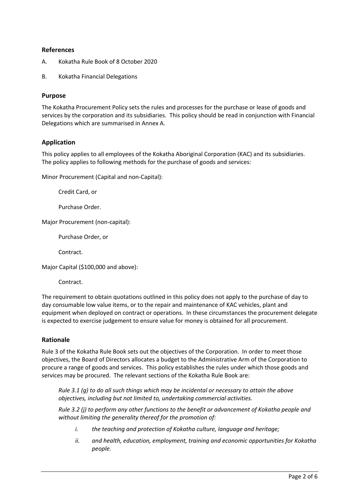## **References**

- A. Kokatha Rule Book of 8 October 2020
- B. Kokatha Financial Delegations

#### **Purpose**

The Kokatha Procurement Policy sets the rules and processes for the purchase or lease of goods and services by the corporation and its subsidiaries. This policy should be read in conjunction with Financial Delegations which are summarised in Annex A.

## **Application**

This policy applies to all employees of the Kokatha Aboriginal Corporation (KAC) and its subsidiaries. The policy applies to following methods for the purchase of goods and services:

Minor Procurement (Capital and non-Capital):

Credit Card, or

Purchase Order.

Major Procurement (non-capital):

Purchase Order, or

Contract.

Major Capital (\$100,000 and above):

Contract.

The requirement to obtain quotations outlined in this policy does not apply to the purchase of day to day consumable low value items, or to the repair and maintenance of KAC vehicles, plant and equipment when deployed on contract or operations. In these circumstances the procurement delegate is expected to exercise judgement to ensure value for money is obtained for all procurement.

#### **Rationale**

Rule 3 of the Kokatha Rule Book sets out the objectives of the Corporation. In order to meet those objectives, the Board of Directors allocates a budget to the Administrative Arm of the Corporation to procure a range of goods and services. This policy establishes the rules under which those goods and services may be procured. The relevant sections of the Kokatha Rule Book are:

*Rule 3.1 (g) to do all such things which may be incidental or necessary to attain the above objectives, including but not limited to, undertaking commercial activities.*

*Rule 3.2 (j) to perform any other functions to the benefit or advancement of Kokatha people and without limiting the generality thereof for the promotion of:* 

- *i. the teaching and protection of Kokatha culture, language and heritage;*
- *ii. and health, education, employment, training and economic opportunities for Kokatha people.*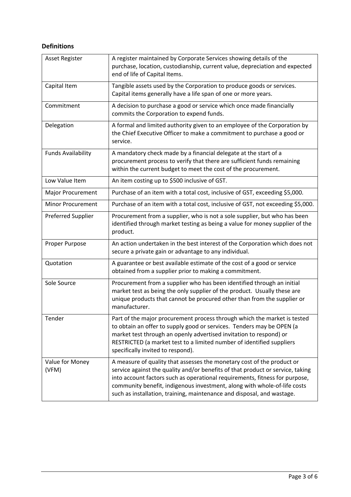# **Definitions**

| <b>Asset Register</b>     | A register maintained by Corporate Services showing details of the<br>purchase, location, custodianship, current value, depreciation and expected<br>end of life of Capital Items.                                                                                                                                                                                                            |
|---------------------------|-----------------------------------------------------------------------------------------------------------------------------------------------------------------------------------------------------------------------------------------------------------------------------------------------------------------------------------------------------------------------------------------------|
| Capital Item              | Tangible assets used by the Corporation to produce goods or services.<br>Capital items generally have a life span of one or more years.                                                                                                                                                                                                                                                       |
| Commitment                | A decision to purchase a good or service which once made financially<br>commits the Corporation to expend funds.                                                                                                                                                                                                                                                                              |
| Delegation                | A formal and limited authority given to an employee of the Corporation by<br>the Chief Executive Officer to make a commitment to purchase a good or<br>service.                                                                                                                                                                                                                               |
| <b>Funds Availability</b> | A mandatory check made by a financial delegate at the start of a<br>procurement process to verify that there are sufficient funds remaining<br>within the current budget to meet the cost of the procurement.                                                                                                                                                                                 |
| Low Value Item            | An item costing up to \$500 inclusive of GST.                                                                                                                                                                                                                                                                                                                                                 |
| Major Procurement         | Purchase of an item with a total cost, inclusive of GST, exceeding \$5,000.                                                                                                                                                                                                                                                                                                                   |
| <b>Minor Procurement</b>  | Purchase of an item with a total cost, inclusive of GST, not exceeding \$5,000.                                                                                                                                                                                                                                                                                                               |
| <b>Preferred Supplier</b> | Procurement from a supplier, who is not a sole supplier, but who has been<br>identified through market testing as being a value for money supplier of the<br>product.                                                                                                                                                                                                                         |
| Proper Purpose            | An action undertaken in the best interest of the Corporation which does not<br>secure a private gain or advantage to any individual.                                                                                                                                                                                                                                                          |
| Quotation                 | A guarantee or best available estimate of the cost of a good or service<br>obtained from a supplier prior to making a commitment.                                                                                                                                                                                                                                                             |
| Sole Source               | Procurement from a supplier who has been identified through an initial<br>market test as being the only supplier of the product. Usually these are<br>unique products that cannot be procured other than from the supplier or<br>manufacturer.                                                                                                                                                |
| Tender                    | Part of the major procurement process through which the market is tested<br>to obtain an offer to supply good or services. Tenders may be OPEN (a<br>market test through an openly advertised invitation to respond) or<br>RESTRICTED (a market test to a limited number of identified suppliers<br>specifically invited to respond).                                                         |
| Value for Money<br>(VFM)  | A measure of quality that assesses the monetary cost of the product or<br>service against the quality and/or benefits of that product or service, taking<br>into account factors such as operational requirements, fitness for purpose,<br>community benefit, indigenous investment, along with whole-of-life costs<br>such as installation, training, maintenance and disposal, and wastage. |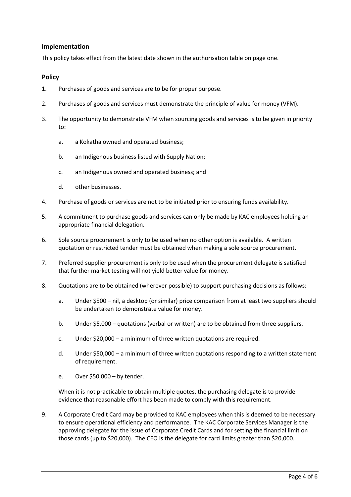## **Implementation**

This policy takes effect from the latest date shown in the authorisation table on page one.

#### **Policy**

- 1. Purchases of goods and services are to be for proper purpose.
- 2. Purchases of goods and services must demonstrate the principle of value for money (VFM).
- 3. The opportunity to demonstrate VFM when sourcing goods and services is to be given in priority to:
	- a. a Kokatha owned and operated business;
	- b. an Indigenous business listed with Supply Nation;
	- c. an Indigenous owned and operated business; and
	- d. other businesses.
- 4. Purchase of goods or services are not to be initiated prior to ensuring funds availability.
- 5. A commitment to purchase goods and services can only be made by KAC employees holding an appropriate financial delegation.
- 6. Sole source procurement is only to be used when no other option is available. A written quotation or restricted tender must be obtained when making a sole source procurement.
- 7. Preferred supplier procurement is only to be used when the procurement delegate is satisfied that further market testing will not yield better value for money.
- 8. Quotations are to be obtained (wherever possible) to support purchasing decisions as follows:
	- a. Under \$500 nil, a desktop (or similar) price comparison from at least two suppliers should be undertaken to demonstrate value for money.
	- b. Under \$5,000 quotations (verbal or written) are to be obtained from three suppliers.
	- c. Under \$20,000 a minimum of three written quotations are required.
	- d. Under \$50,000 a minimum of three written quotations responding to a written statement of requirement.
	- e. Over \$50,000 by tender.

When it is not practicable to obtain multiple quotes, the purchasing delegate is to provide evidence that reasonable effort has been made to comply with this requirement.

9. A Corporate Credit Card may be provided to KAC employees when this is deemed to be necessary to ensure operational efficiency and performance. The KAC Corporate Services Manager is the approving delegate for the issue of Corporate Credit Cards and for setting the financial limit on those cards (up to \$20,000). The CEO is the delegate for card limits greater than \$20,000.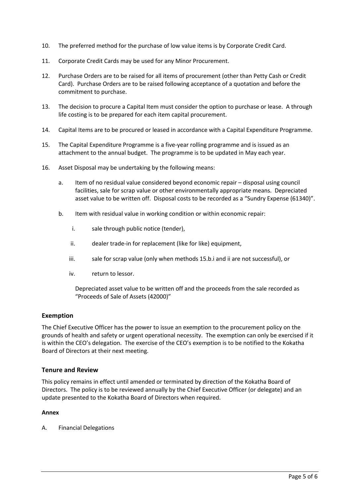- 10. The preferred method for the purchase of low value items is by Corporate Credit Card.
- 11. Corporate Credit Cards may be used for any Minor Procurement.
- 12. Purchase Orders are to be raised for all items of procurement (other than Petty Cash or Credit Card). Purchase Orders are to be raised following acceptance of a quotation and before the commitment to purchase.
- 13. The decision to procure a Capital Item must consider the option to purchase or lease. A through life costing is to be prepared for each item capital procurement.
- 14. Capital Items are to be procured or leased in accordance with a Capital Expenditure Programme.
- 15. The Capital Expenditure Programme is a five-year rolling programme and is issued as an attachment to the annual budget. The programme is to be updated in May each year.
- 16. Asset Disposal may be undertaking by the following means:
	- a. Item of no residual value considered beyond economic repair disposal using council facilities, sale for scrap value or other environmentally appropriate means. Depreciated asset value to be written off. Disposal costs to be recorded as a "Sundry Expense (61340)".
	- b. Item with residual value in working condition or within economic repair:
		- i. sale through public notice (tender),
		- ii. dealer trade-in for replacement (like for like) equipment,
		- iii. sale for scrap value (only when methods 15.b.i and ii are not successful), or
		- iv. return to lessor.

Depreciated asset value to be written off and the proceeds from the sale recorded as "Proceeds of Sale of Assets (42000)"

## **Exemption**

The Chief Executive Officer has the power to issue an exemption to the procurement policy on the grounds of health and safety or urgent operational necessity. The exemption can only be exercised if it is within the CEO's delegation. The exercise of the CEO's exemption is to be notified to the Kokatha Board of Directors at their next meeting.

#### **Tenure and Review**

This policy remains in effect until amended or terminated by direction of the Kokatha Board of Directors. The policy is to be reviewed annually by the Chief Executive Officer (or delegate) and an update presented to the Kokatha Board of Directors when required.

#### **Annex**

A. Financial Delegations